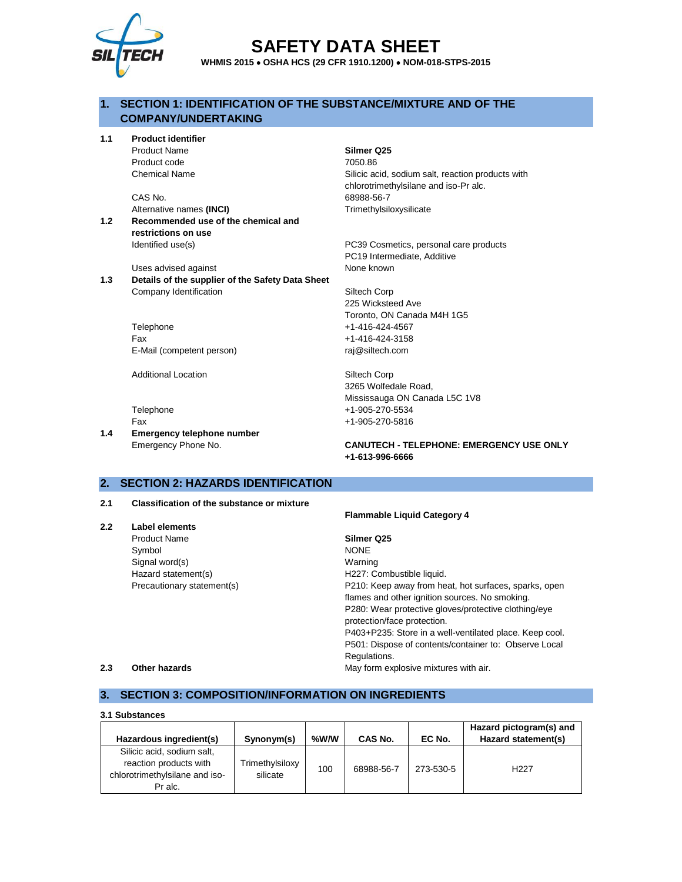

# **SAFETY DATA SHEET**

**WHMIS 2015** • **OSHA HCS (29 CFR 1910.1200)** • **NOM-018-STPS-2015**

# **1. SECTION 1: IDENTIFICATION OF THE SUBSTANCE/MIXTURE AND OF THE COMPANY/UNDERTAKING**

**1.1 Product identifier**

Product Name **Silmer Q25** Product code 7050.86

CAS No. 68988-56-7 Alternative names (INCI) **Trimethylsiloxysilicate** 

**1.2 Recommended use of the chemical and restrictions on use** Identified use(s) PC39 Cosmetics, personal care products

Uses advised against **None known** 

**1.3 Details of the supplier of the Safety Data Sheet** Company Identification Siltech Corp

> Telephone +1-416-424-4567 Fax +1-416-424-3158 E-Mail (competent person) raj@siltech.com

Additional Location **Siltech Corp** 

**1.4 Emergency telephone number**

Chemical Name Silicic acid, sodium salt, reaction products with chlorotrimethylsilane and iso-Pr alc.

PC19 Intermediate, Additive

225 Wicksteed Ave Toronto, ON Canada M4H 1G5

3265 Wolfedale Road, Mississauga ON Canada L5C 1V8 Telephone +1-905-270-5534 Fax +1-905-270-5816

**Flammable Liquid Category 4**

# Emergency Phone No. **CANUTECH - TELEPHONE: EMERGENCY USE ONLY +1-613-996-6666**

# **2. SECTION 2: HAZARDS IDENTIFICATION**

## **2.1 Classification of the substance or mixture**

|     |                            | <b>Flammable Liquid Category 4</b>                      |
|-----|----------------------------|---------------------------------------------------------|
| 2.2 | Label elements             |                                                         |
|     | <b>Product Name</b>        | Silmer Q25                                              |
|     | Symbol                     | <b>NONE</b>                                             |
|     | Signal word(s)             | Warning                                                 |
|     | Hazard statement(s)        | H227: Combustible liquid.                               |
|     | Precautionary statement(s) | P210: Keep away from heat, hot surfaces, sparks, open   |
|     |                            | flames and other ignition sources. No smoking.          |
|     |                            | P280: Wear protective gloves/protective clothing/eye    |
|     |                            | protection/face protection.                             |
|     |                            | P403+P235: Store in a well-ventilated place. Keep cool. |
|     |                            | P501: Dispose of contents/container to: Observe Local   |
|     |                            | Regulations.                                            |
| 2.3 | Other hazards              | May form explosive mixtures with air.                   |

# **3. SECTION 3: COMPOSITION/INFORMATION ON INGREDIENTS**

| 3.1 Substances                                                                                    |                             |      |            |           |                                                |  |  |
|---------------------------------------------------------------------------------------------------|-----------------------------|------|------------|-----------|------------------------------------------------|--|--|
| Hazardous ingredient(s)                                                                           | Synonym(s)                  | %W/W | CAS No.    | EC No.    | Hazard pictogram(s) and<br>Hazard statement(s) |  |  |
| Silicic acid, sodium salt,<br>reaction products with<br>chlorotrimethylsilane and iso-<br>Pr alc. | Trimethylsiloxy<br>silicate | 100  | 68988-56-7 | 273-530-5 | H <sub>22</sub> 7                              |  |  |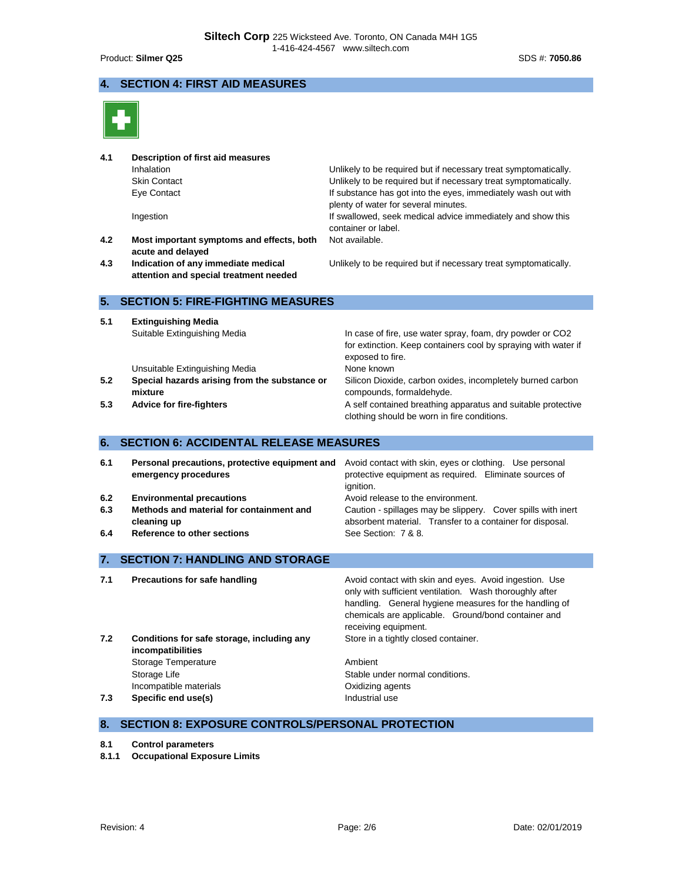# **4. SECTION 4: FIRST AID MEASURES**



| 4.1<br>4.2<br>4.3 | Description of first aid measures<br>Inhalation<br><b>Skin Contact</b><br>Eye Contact<br>Ingestion<br>Most important symptoms and effects, both<br>acute and delayed<br>Indication of any immediate medical<br>attention and special treatment needed | Unlikely to be required but if necessary treat symptomatically.<br>Unlikely to be required but if necessary treat symptomatically.<br>If substance has got into the eyes, immediately wash out with<br>plenty of water for several minutes.<br>If swallowed, seek medical advice immediately and show this<br>container or label.<br>Not available.<br>Unlikely to be required but if necessary treat symptomatically. |
|-------------------|-------------------------------------------------------------------------------------------------------------------------------------------------------------------------------------------------------------------------------------------------------|------------------------------------------------------------------------------------------------------------------------------------------------------------------------------------------------------------------------------------------------------------------------------------------------------------------------------------------------------------------------------------------------------------------------|
| 5.                | <b>SECTION 5: FIRE-FIGHTING MEASURES</b>                                                                                                                                                                                                              |                                                                                                                                                                                                                                                                                                                                                                                                                        |
| 5.1<br>5.2        | <b>Extinguishing Media</b><br>Suitable Extinguishing Media<br>Unsuitable Extinguishing Media<br>Special hazards arising from the substance or                                                                                                         | In case of fire, use water spray, foam, dry powder or CO2<br>for extinction. Keep containers cool by spraying with water if<br>exposed to fire.<br>None known<br>Silicon Dioxide, carbon oxides, incompletely burned carbon                                                                                                                                                                                            |
| 5.3               | mixture<br>Advice for fire-fighters                                                                                                                                                                                                                   | compounds, formaldehyde.<br>A self contained breathing apparatus and suitable protective<br>clothing should be worn in fire conditions.                                                                                                                                                                                                                                                                                |
| 6.                | <b>SECTION 6: ACCIDENTAL RELEASE MEASURES</b>                                                                                                                                                                                                         |                                                                                                                                                                                                                                                                                                                                                                                                                        |
| 6.1               | Personal precautions, protective equipment and<br>emergency procedures                                                                                                                                                                                | Avoid contact with skin, eyes or clothing. Use personal<br>protective equipment as required. Eliminate sources of<br>ignition.                                                                                                                                                                                                                                                                                         |
| 6.2               | <b>Environmental precautions</b>                                                                                                                                                                                                                      | Avoid release to the environment.                                                                                                                                                                                                                                                                                                                                                                                      |
| 6.3               | Methods and material for containment and<br>cleaning up                                                                                                                                                                                               | Caution - spillages may be slippery. Cover spills with inert<br>absorbent material. Transfer to a container for disposal.                                                                                                                                                                                                                                                                                              |
| 6.4               | <b>Reference to other sections</b>                                                                                                                                                                                                                    | See Section: 7 & 8.                                                                                                                                                                                                                                                                                                                                                                                                    |
| 7.                | <b>SECTION 7: HANDLING AND STORAGE</b>                                                                                                                                                                                                                |                                                                                                                                                                                                                                                                                                                                                                                                                        |
| 7.1               | <b>Precautions for safe handling</b>                                                                                                                                                                                                                  | Avoid contact with skin and eyes. Avoid ingestion. Use<br>only with sufficient ventilation. Wash thoroughly after<br>handling. General hygiene measures for the handling of<br>chemicals are applicable. Ground/bond container and<br>receiving equipment.                                                                                                                                                             |
| 7.2               | Conditions for safe storage, including any<br>incompatibilities<br>Storage Temperature<br>Storage Life                                                                                                                                                | Store in a tightly closed container.<br>Ambient<br>Stable under normal conditions.                                                                                                                                                                                                                                                                                                                                     |
|                   | Incompatible materials                                                                                                                                                                                                                                | Oxidizing agents                                                                                                                                                                                                                                                                                                                                                                                                       |
| 7.3               | Specific end use(s)                                                                                                                                                                                                                                   | Industrial use                                                                                                                                                                                                                                                                                                                                                                                                         |

**7.3 Specific end use(s)** 

# **8. SECTION 8: EXPOSURE CONTROLS/PERSONAL PROTECTION**

- **8.1 Control parameters**
- **8.1.1 Occupational Exposure Limits**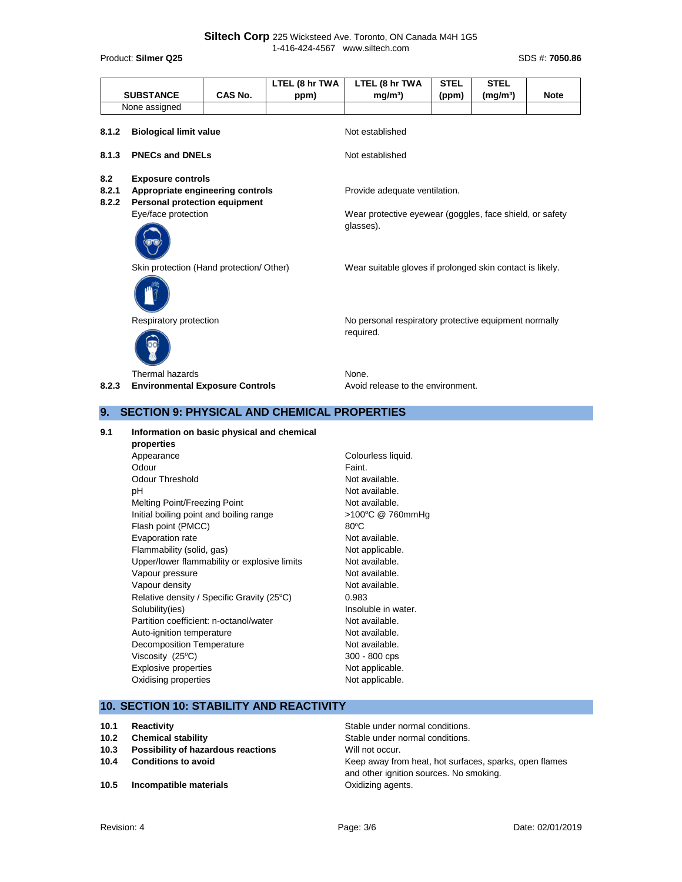|                                                                                                                                                                | <b>SUBSTANCE</b>                          | CAS No. | LTEL (8 hr TWA<br>ppm) | LTEL (8 hr TWA<br>mg/m <sup>3</sup>                                   | <b>STEL</b><br>(ppm) | <b>STEL</b><br>(mg/m <sup>3</sup> ) | <b>Note</b> |  |  |
|----------------------------------------------------------------------------------------------------------------------------------------------------------------|-------------------------------------------|---------|------------------------|-----------------------------------------------------------------------|----------------------|-------------------------------------|-------------|--|--|
|                                                                                                                                                                | None assigned                             |         |                        |                                                                       |                      |                                     |             |  |  |
| 8.1.2                                                                                                                                                          | <b>Biological limit value</b>             |         |                        | Not established                                                       |                      |                                     |             |  |  |
| 8.1.3                                                                                                                                                          | <b>PNECs and DNELs</b><br>Not established |         |                        |                                                                       |                      |                                     |             |  |  |
| 8.2<br><b>Exposure controls</b><br>8.2.1<br>Appropriate engineering controls<br>Provide adequate ventilation.<br>8.2.2<br><b>Personal protection equipment</b> |                                           |         |                        |                                                                       |                      |                                     |             |  |  |
|                                                                                                                                                                | Eye/face protection                       |         |                        | Wear protective eyewear (goggles, face shield, or safety<br>glasses). |                      |                                     |             |  |  |
| Skin protection (Hand protection/ Other)                                                                                                                       |                                           |         |                        | Wear suitable gloves if prolonged skin contact is likely.             |                      |                                     |             |  |  |
|                                                                                                                                                                | Respiratory protection                    |         |                        | No personal respiratory protective equipment normally<br>required.    |                      |                                     |             |  |  |
|                                                                                                                                                                | Thermal hazards                           |         |                        | None.                                                                 |                      |                                     |             |  |  |

8.2.3 **Environmental Exposure Controls** Avoid release to the environment.

# **9. SECTION 9: PHYSICAL AND CHEMICAL PROPERTIES**

**9.1 Information on basic physical and chemical properties** Appearance Colourless liquid. Odour **Faint.** Odour Threshold Not available. pH Not available. Melting Point/Freezing Point Not available. Initial boiling point and boiling range >100°C @ 760mmHg Flash point (PMCC) 80°C Evaporation rate **Not available**. Flammability (solid, gas) Not applicable. Upper/lower flammability or explosive limits Not available. Vapour pressure Not available. Vapour density and the set of the Not available. Relative density / Specific Gravity (25°C) 0.983 Solubility(ies) Solubility(ies) and the soluble in water. Partition coefficient: n-octanol/water Not available. Auto-ignition temperature Not available. Decomposition Temperature Not available. Viscosity  $(25^{\circ}C)$  300 - 800 cps Explosive properties Not applicable. Oxidising properties Not applicable.

# **10. SECTION 10: STABILITY AND REACTIVITY**

- 
- **10.3 Possibility of hazardous reactions** Will not occur.
- 
- **10.5 Incompatible materials 10.5 Incompatible materials C**Xidizing agents.

**10.1 Reactivity Reactivity Reactivity Reactivity Reactivity Reactivity Stable under normal conditions. 10.2 Chemical stability Chemical stability** Stable under normal conditions. **10.4 Conditions to avoid 10.4 Conditions to avoid Keep away from heat, hot surfaces, sparks, open flames** and other ignition sources. No smoking.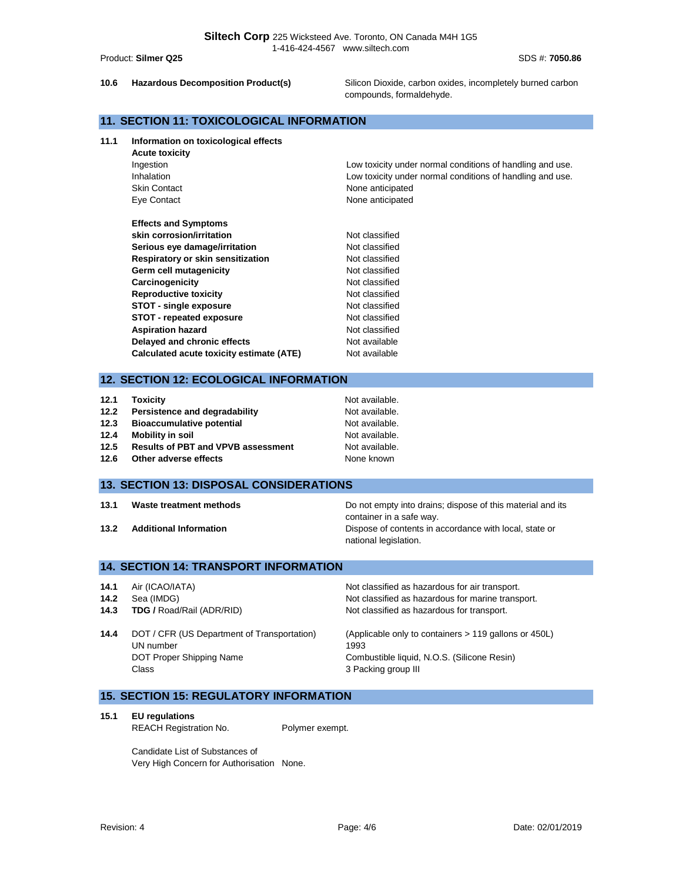**10.6 Hazardous Decomposition Product(s)** Silicon Dioxide, carbon oxides, incompletely burned carbon compounds, formaldehyde.

# **11. SECTION 11: TOXICOLOGICAL INFORMATION**

**11.1 Information on toxicological effects**

| <b>Acute toxicity</b>                    |                                                           |
|------------------------------------------|-----------------------------------------------------------|
| Ingestion                                | Low toxicity under normal conditions of handling and use. |
| Inhalation                               | Low toxicity under normal conditions of handling and use. |
| <b>Skin Contact</b>                      | None anticipated                                          |
| Eye Contact                              | None anticipated                                          |
| <b>Effects and Symptoms</b>              |                                                           |
| skin corrosion/irritation                | Not classified                                            |
| Serious eye damage/irritation            | Not classified                                            |
| Respiratory or skin sensitization        | Not classified                                            |
| Germ cell mutagenicity                   | Not classified                                            |
| Carcinogenicity                          | Not classified                                            |
| <b>Reproductive toxicity</b>             | Not classified                                            |
| STOT - single exposure                   | Not classified                                            |
| STOT - repeated exposure                 | Not classified                                            |
| <b>Aspiration hazard</b>                 | Not classified                                            |
| Delayed and chronic effects              | Not available                                             |
| Calculated acute toxicity estimate (ATE) | Not available                                             |

# **12. SECTION 12: ECOLOGICAL INFORMATION**

| 12.1 | <b>Toxicity</b>                           | Not available. |
|------|-------------------------------------------|----------------|
| 12.2 | Persistence and degradability             | Not available. |
| 12.3 | <b>Bioaccumulative potential</b>          | Not available. |
| 12.4 | Mobility in soil                          | Not available. |
| 12.5 | <b>Results of PBT and VPVB assessment</b> | Not available. |
| 12.6 | Other adverse effects                     | None known     |

# **13. SECTION 13: DISPOSAL CONSIDERATIONS**

| Waste treatment methods | 13.1 |  |  |  |
|-------------------------|------|--|--|--|
|-------------------------|------|--|--|--|

**13.1 13.1 13.1 13.1 Do not empty into drains; dispose of this material and its** container in a safe way. **13.2 Additional Information 13.2 Additional Information Dispose of contents in accordance with local, state or** national legislation.

# **14. SECTION 14: TRANSPORT INFORMATION**

| 14.1 | Air (ICAO/IATA)                                                                               | Not classified as hazardous for air transport.                                                                                      |
|------|-----------------------------------------------------------------------------------------------|-------------------------------------------------------------------------------------------------------------------------------------|
| 14.2 | Sea (IMDG)                                                                                    | Not classified as hazardous for marine transport.                                                                                   |
| 14.3 | <b>TDG / Road/Rail (ADR/RID)</b>                                                              | Not classified as hazardous for transport.                                                                                          |
| 14.4 | DOT / CFR (US Department of Transportation)<br>UN number<br>DOT Proper Shipping Name<br>Class | (Applicable only to containers > 119 gallons or 450L)<br>1993<br>Combustible liquid, N.O.S. (Silicone Resin)<br>3 Packing group III |

# **15. SECTION 15: REGULATORY INFORMATION**

**15.1 EU regulations**

REACH Registration No. Polymer exempt.

Candidate List of Substances of Very High Concern for Authorisation None.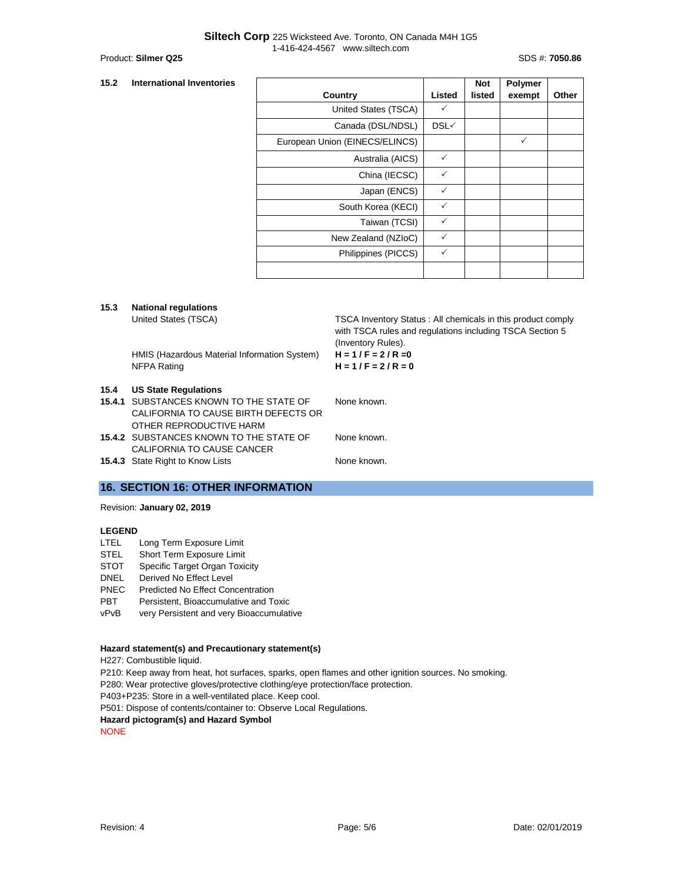#### **15.2 International Inventories**

|                                |              | <b>Not</b> | <b>Polymer</b> |       |
|--------------------------------|--------------|------------|----------------|-------|
| Country                        | Listed       | listed     | exempt         | Other |
| United States (TSCA)           | ✓            |            |                |       |
| Canada (DSL/NDSL)              | DSL√         |            |                |       |
| European Union (EINECS/ELINCS) |              |            | $\checkmark$   |       |
| Australia (AICS)               | ✓            |            |                |       |
| China (IECSC)                  | $\checkmark$ |            |                |       |
| Japan (ENCS)                   | $\checkmark$ |            |                |       |
| South Korea (KECI)             | $\checkmark$ |            |                |       |
| Taiwan (TCSI)                  | ✓            |            |                |       |
| New Zealand (NZIoC)            | ✓            |            |                |       |
| Philippines (PICCS)            | ✓            |            |                |       |
|                                |              |            |                |       |

#### **15.3 National regulations**

United States (TSCA) TSCA Inventory Status : All chemicals in this product comply with TSCA rules and regulations including TSCA Section 5 (Inventory Rules).

HMIS (Hazardous Material Information System) **H = 1 / F = 2 / R =0** NFPA Rating **H = 1 / F = 2 / R = 0**

#### **15.4 US State Regulations**

| 15.4.1 SUBSTANCES KNOWN TO THE STATE OF | None known. |
|-----------------------------------------|-------------|
| CALIFORNIA TO CAUSE BIRTH DEFECTS OR    |             |
| OTHER REPRODUCTIVE HARM                 |             |

**15.4.2** SUBSTANCES KNOWN TO THE STATE OF CALIFORNIA TO CAUSE CANCER None known.

**15.4.3** State Right to Know Lists None known.

# **16. SECTION 16: OTHER INFORMATION**

#### Revision: **January 02, 2019**

#### **LEGEND**

- LTEL Long Term Exposure Limit
- STEL Short Term Exposure Limit
- STOT Specific Target Organ Toxicity
- DNEL Derived No Effect Level
- 
- PNEC Predicted No Effect Concentration<br>PBT Persistent. Bioaccumulative and To
- **PBT** Persistent, Bioaccumulative and Toxic<br>
vPvB very Persistent and very Bioaccumulat very Persistent and very Bioaccumulative

#### **Hazard statement(s) and Precautionary statement(s)**

H227: Combustible liquid.

- P210: Keep away from heat, hot surfaces, sparks, open flames and other ignition sources. No smoking.
- P280: Wear protective gloves/protective clothing/eye protection/face protection.
- P403+P235: Store in a well-ventilated place. Keep cool.

P501: Dispose of contents/container to: Observe Local Regulations.

#### **Hazard pictogram(s) and Hazard Symbol**

NONE